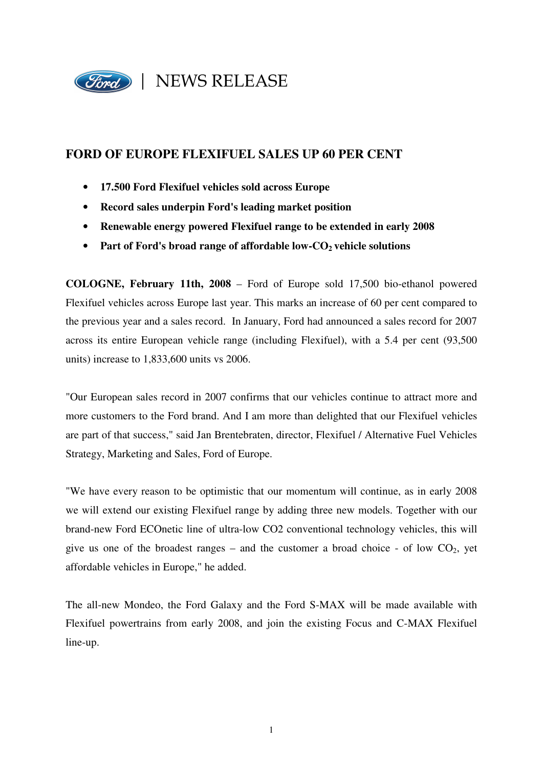

# **FORD OF EUROPE FLEXIFUEL SALES UP 60 PER CENT**

- **17.500 Ford Flexifuel vehicles sold across Europe**
- **Record sales underpin Ford's leading market position**
- **Renewable energy powered Flexifuel range to be extended in early 2008**
- Part of Ford's broad range of affordable low-CO<sub>2</sub> vehicle solutions

**COLOGNE, February 11th, 2008** – Ford of Europe sold 17,500 bio-ethanol powered Flexifuel vehicles across Europe last year. This marks an increase of 60 per cent compared to the previous year and a sales record. In January, Ford had announced a sales record for 2007 across its entire European vehicle range (including Flexifuel), with a 5.4 per cent (93,500 units) increase to 1,833,600 units vs 2006.

"Our European sales record in 2007 confirms that our vehicles continue to attract more and more customers to the Ford brand. And I am more than delighted that our Flexifuel vehicles are part of that success," said Jan Brentebraten, director, Flexifuel / Alternative Fuel Vehicles Strategy, Marketing and Sales, Ford of Europe.

"We have every reason to be optimistic that our momentum will continue, as in early 2008 we will extend our existing Flexifuel range by adding three new models. Together with our brand-new Ford ECOnetic line of ultra-low CO2 conventional technology vehicles, this will give us one of the broadest ranges – and the customer a broad choice - of low  $CO<sub>2</sub>$ , yet affordable vehicles in Europe," he added.

The all-new Mondeo, the Ford Galaxy and the Ford S-MAX will be made available with Flexifuel powertrains from early 2008, and join the existing Focus and C-MAX Flexifuel line-up.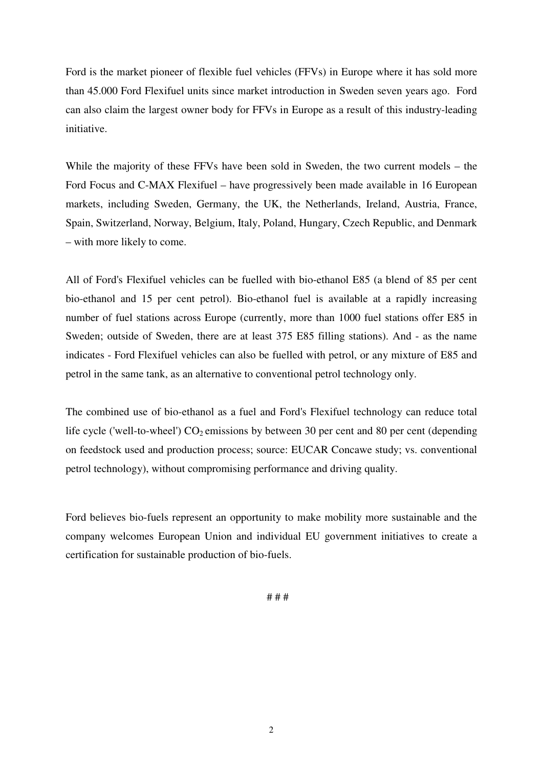Ford is the market pioneer of flexible fuel vehicles (FFVs) in Europe where it has sold more than 45.000 Ford Flexifuel units since market introduction in Sweden seven years ago. Ford can also claim the largest owner body for FFVs in Europe as a result of this industry-leading initiative.

While the majority of these FFVs have been sold in Sweden, the two current models – the Ford Focus and C-MAX Flexifuel – have progressively been made available in 16 European markets, including Sweden, Germany, the UK, the Netherlands, Ireland, Austria, France, Spain, Switzerland, Norway, Belgium, Italy, Poland, Hungary, Czech Republic, and Denmark – with more likely to come.

All of Ford's Flexifuel vehicles can be fuelled with bio-ethanol E85 (a blend of 85 per cent bio-ethanol and 15 per cent petrol). Bio-ethanol fuel is available at a rapidly increasing number of fuel stations across Europe (currently, more than 1000 fuel stations offer E85 in Sweden; outside of Sweden, there are at least 375 E85 filling stations). And - as the name indicates - Ford Flexifuel vehicles can also be fuelled with petrol, or any mixture of E85 and petrol in the same tank, as an alternative to conventional petrol technology only.

The combined use of bio-ethanol as a fuel and Ford's Flexifuel technology can reduce total life cycle ('well-to-wheel')  $CO_2$  emissions by between 30 per cent and 80 per cent (depending on feedstock used and production process; source: EUCAR Concawe study; vs. conventional petrol technology), without compromising performance and driving quality.

Ford believes bio-fuels represent an opportunity to make mobility more sustainable and the company welcomes European Union and individual EU government initiatives to create a certification for sustainable production of bio-fuels.

# # #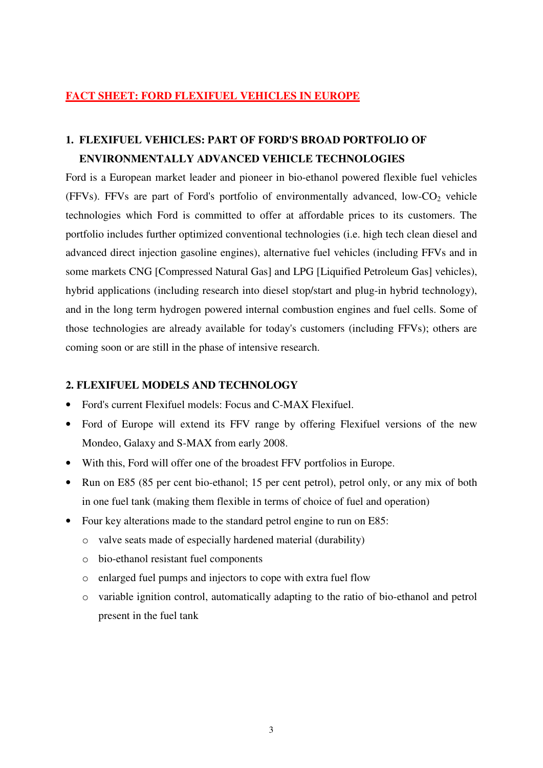# **FACT SHEET: FORD FLEXIFUEL VEHICLES IN EUROPE**

# **1. FLEXIFUEL VEHICLES: PART OF FORD'S BROAD PORTFOLIO OF ENVIRONMENTALLY ADVANCED VEHICLE TECHNOLOGIES**

Ford is a European market leader and pioneer in bio-ethanol powered flexible fuel vehicles (FFVs). FFVs are part of Ford's portfolio of environmentally advanced, low- $CO<sub>2</sub>$  vehicle technologies which Ford is committed to offer at affordable prices to its customers. The portfolio includes further optimized conventional technologies (i.e. high tech clean diesel and advanced direct injection gasoline engines), alternative fuel vehicles (including FFVs and in some markets CNG [Compressed Natural Gas] and LPG [Liquified Petroleum Gas] vehicles), hybrid applications (including research into diesel stop/start and plug-in hybrid technology), and in the long term hydrogen powered internal combustion engines and fuel cells. Some of those technologies are already available for today's customers (including FFVs); others are coming soon or are still in the phase of intensive research.

# **2. FLEXIFUEL MODELS AND TECHNOLOGY**

- Ford's current Flexifuel models: Focus and C-MAX Flexifuel.
- Ford of Europe will extend its FFV range by offering Flexifuel versions of the new Mondeo, Galaxy and S-MAX from early 2008.
- With this, Ford will offer one of the broadest FFV portfolios in Europe.
- Run on E85 (85 per cent bio-ethanol; 15 per cent petrol), petrol only, or any mix of both in one fuel tank (making them flexible in terms of choice of fuel and operation)
- Four key alterations made to the standard petrol engine to run on E85:
	- o valve seats made of especially hardened material (durability)
	- o bio-ethanol resistant fuel components
	- o enlarged fuel pumps and injectors to cope with extra fuel flow
	- o variable ignition control, automatically adapting to the ratio of bio-ethanol and petrol present in the fuel tank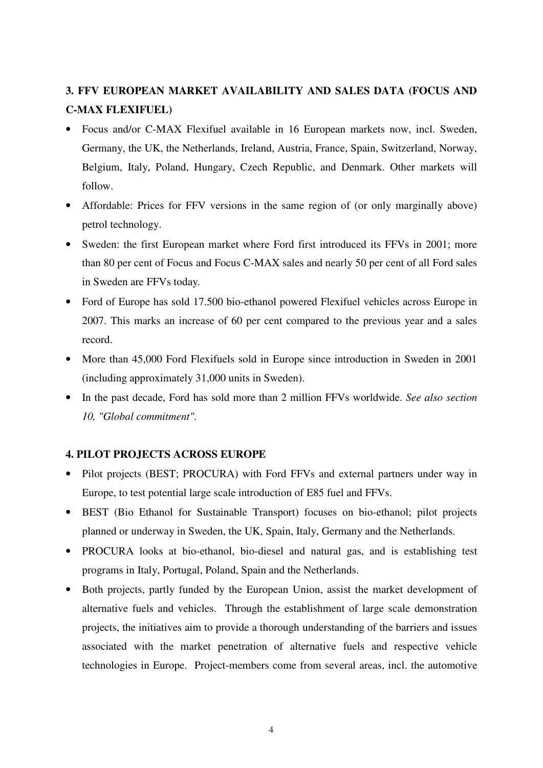# **3. FFV EUROPEAN MARKET AVAILABILITY AND SALES DATA (FOCUS AND C-MAX FLEXIFUEL)**

- Focus and/or C-MAX Flexifuel available in 16 European markets now, incl. Sweden, Germany, the UK, the Netherlands, Ireland, Austria, France, Spain, Switzerland, Norway, Belgium, Italy, Poland, Hungary, Czech Republic, and Denmark. Other markets will follow.
- Affordable: Prices for FFV versions in the same region of (or only marginally above) petrol technology.
- Sweden: the first European market where Ford first introduced its FFVs in 2001; more than 80 per cent of Focus and Focus C-MAX sales and nearly 50 per cent of all Ford sales in Sweden are FFVs today*.*
- Ford of Europe has sold 17.500 bio-ethanol powered Flexifuel vehicles across Europe in 2007. This marks an increase of 60 per cent compared to the previous year and a sales record.
- More than 45,000 Ford Flexifuels sold in Europe since introduction in Sweden in 2001 (including approximately 31,000 units in Sweden).
- In the past decade, Ford has sold more than 2 million FFVs worldwide. *See also section 10, "Global commitment".*

# **4. PILOT PROJECTS ACROSS EUROPE**

- Pilot projects (BEST; PROCURA) with Ford FFVs and external partners under way in Europe, to test potential large scale introduction of E85 fuel and FFVs.
- BEST (Bio Ethanol for Sustainable Transport) focuses on bio-ethanol; pilot projects planned or underway in Sweden, the UK, Spain, Italy, Germany and the Netherlands.
- PROCURA looks at bio-ethanol, bio-diesel and natural gas, and is establishing test programs in Italy, Portugal, Poland, Spain and the Netherlands.
- Both projects, partly funded by the European Union, assist the market development of alternative fuels and vehicles. Through the establishment of large scale demonstration projects, the initiatives aim to provide a thorough understanding of the barriers and issues associated with the market penetration of alternative fuels and respective vehicle technologies in Europe. Project-members come from several areas, incl. the automotive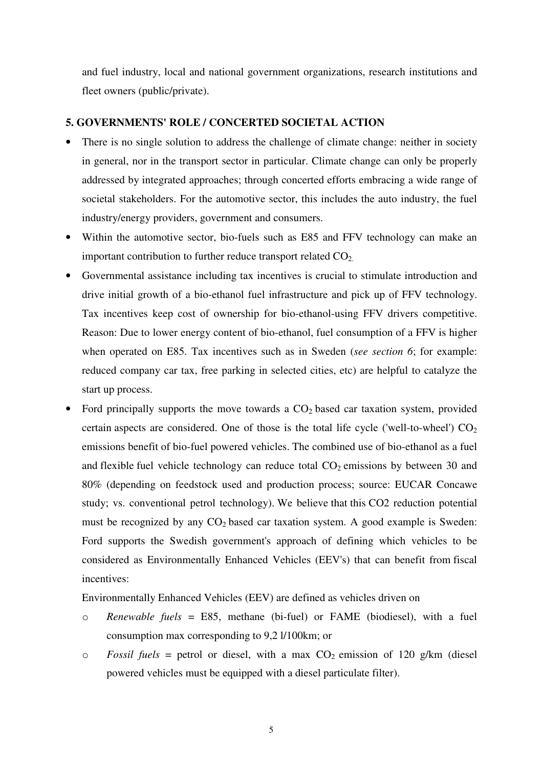and fuel industry, local and national government organizations, research institutions and fleet owners (public/private).

#### **5. GOVERNMENTS' ROLE / CONCERTED SOCIETAL ACTION**

- There is no single solution to address the challenge of climate change: neither in society in general, nor in the transport sector in particular. Climate change can only be properly addressed by integrated approaches; through concerted efforts embracing a wide range of societal stakeholders. For the automotive sector, this includes the auto industry, the fuel industry/energy providers, government and consumers.
- Within the automotive sector, bio-fuels such as E85 and FFV technology can make an important contribution to further reduce transport related  $CO<sub>2</sub>$ .
- Governmental assistance including tax incentives is crucial to stimulate introduction and drive initial growth of a bio-ethanol fuel infrastructure and pick up of FFV technology. Tax incentives keep cost of ownership for bio-ethanol-using FFV drivers competitive. Reason: Due to lower energy content of bio-ethanol, fuel consumption of a FFV is higher when operated on E85. Tax incentives such as in Sweden (*see section 6*; for example: reduced company car tax, free parking in selected cities, etc) are helpful to catalyze the start up process.
- Ford principally supports the move towards a  $CO<sub>2</sub>$  based car taxation system, provided certain aspects are considered. One of those is the total life cycle ('well-to-wheel')  $CO<sub>2</sub>$ emissions benefit of bio-fuel powered vehicles. The combined use of bio-ethanol as a fuel and flexible fuel vehicle technology can reduce total  $CO<sub>2</sub>$  emissions by between 30 and 80% (depending on feedstock used and production process; source: EUCAR Concawe study; vs. conventional petrol technology). We believe that this CO2 reduction potential must be recognized by any  $CO<sub>2</sub>$  based car taxation system. A good example is Sweden: Ford supports the Swedish government's approach of defining which vehicles to be considered as Environmentally Enhanced Vehicles (EEV's) that can benefit from fiscal incentives:

Environmentally Enhanced Vehicles (EEV) are defined as vehicles driven on

- o *Renewable fuels* = E85, methane (bi-fuel) or FAME (biodiesel), with a fuel consumption max corresponding to 9,2 l/100km; or
- $\circ$  *Fossil fuels* = petrol or diesel, with a max  $CO_2$  emission of 120 g/km (diesel) powered vehicles must be equipped with a diesel particulate filter).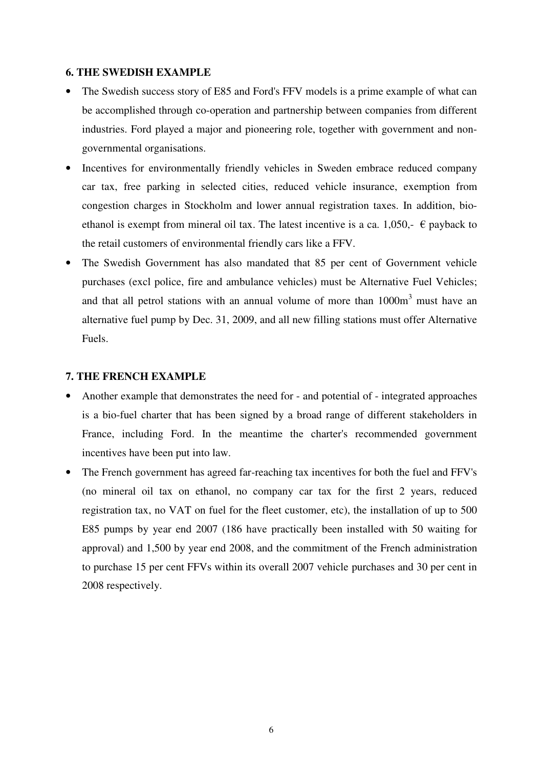# **6. THE SWEDISH EXAMPLE**

- The Swedish success story of E85 and Ford's FFV models is a prime example of what can be accomplished through co-operation and partnership between companies from different industries. Ford played a major and pioneering role, together with government and nongovernmental organisations.
- Incentives for environmentally friendly vehicles in Sweden embrace reduced company car tax, free parking in selected cities, reduced vehicle insurance, exemption from congestion charges in Stockholm and lower annual registration taxes. In addition, bioethanol is exempt from mineral oil tax. The latest incentive is a ca. 1,050,-  $\epsilon$  payback to the retail customers of environmental friendly cars like a FFV.
- The Swedish Government has also mandated that 85 per cent of Government vehicle purchases (excl police, fire and ambulance vehicles) must be Alternative Fuel Vehicles; and that all petrol stations with an annual volume of more than  $1000m<sup>3</sup>$  must have an alternative fuel pump by Dec. 31, 2009, and all new filling stations must offer Alternative Fuels.

#### **7. THE FRENCH EXAMPLE**

- Another example that demonstrates the need for and potential of integrated approaches is a bio-fuel charter that has been signed by a broad range of different stakeholders in France, including Ford. In the meantime the charter's recommended government incentives have been put into law.
- The French government has agreed far-reaching tax incentives for both the fuel and FFV's (no mineral oil tax on ethanol, no company car tax for the first 2 years, reduced registration tax, no VAT on fuel for the fleet customer, etc), the installation of up to 500 E85 pumps by year end 2007 (186 have practically been installed with 50 waiting for approval) and 1,500 by year end 2008, and the commitment of the French administration to purchase 15 per cent FFVs within its overall 2007 vehicle purchases and 30 per cent in 2008 respectively.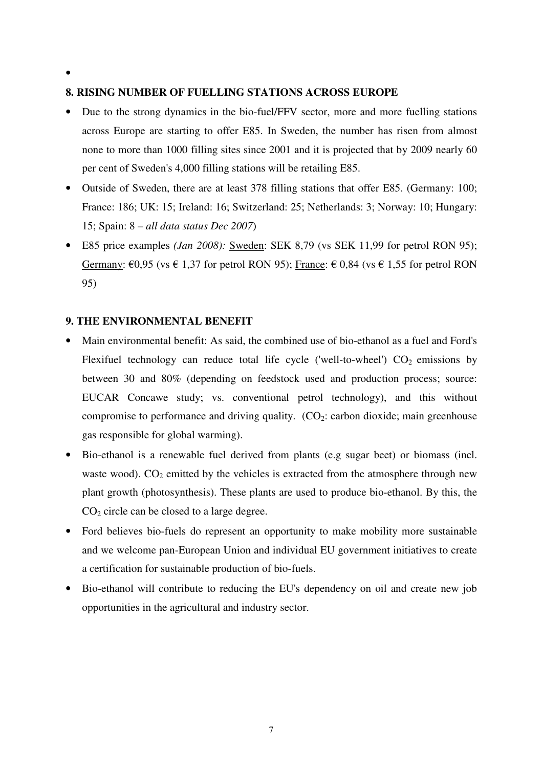•

# **8. RISING NUMBER OF FUELLING STATIONS ACROSS EUROPE**

- Due to the strong dynamics in the bio-fuel/FFV sector, more and more fuelling stations across Europe are starting to offer E85. In Sweden, the number has risen from almost none to more than 1000 filling sites since 2001 and it is projected that by 2009 nearly 60 per cent of Sweden's 4,000 filling stations will be retailing E85.
- Outside of Sweden, there are at least 378 filling stations that offer E85. (Germany: 100; France: 186; UK: 15; Ireland: 16; Switzerland: 25; Netherlands: 3; Norway: 10; Hungary: 15; Spain: 8 – *all data status Dec 2007*)
- E85 price examples *(Jan 2008):* Sweden: SEK 8,79 (vs SEK 11,99 for petrol RON 95); Germany:  $\epsilon$ 0,95 (vs  $\epsilon$  1,37 for petrol RON 95); France:  $\epsilon$  0,84 (vs  $\epsilon$  1,55 for petrol RON 95)

### **9. THE ENVIRONMENTAL BENEFIT**

- Main environmental benefit: As said, the combined use of bio-ethanol as a fuel and Ford's Flexifuel technology can reduce total life cycle ('well-to-wheel')  $CO<sub>2</sub>$  emissions by between 30 and 80% (depending on feedstock used and production process; source: EUCAR Concawe study; vs. conventional petrol technology), and this without compromise to performance and driving quality.  $(CO_2$ : carbon dioxide; main greenhouse gas responsible for global warming).
- Bio-ethanol is a renewable fuel derived from plants (e.g sugar beet) or biomass (incl. waste wood).  $CO_2$  emitted by the vehicles is extracted from the atmosphere through new plant growth (photosynthesis). These plants are used to produce bio-ethanol. By this, the CO2 circle can be closed to a large degree.
- Ford believes bio-fuels do represent an opportunity to make mobility more sustainable and we welcome pan-European Union and individual EU government initiatives to create a certification for sustainable production of bio-fuels.
- Bio-ethanol will contribute to reducing the EU's dependency on oil and create new job opportunities in the agricultural and industry sector.